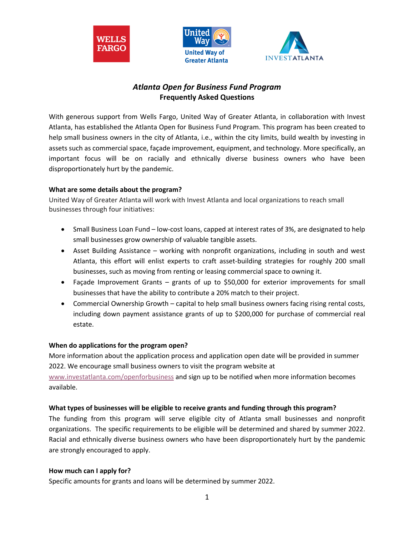





# *Atlanta Open for Business Fund Program* **Frequently Asked Questions**

With generous support from Wells Fargo, United Way of Greater Atlanta, in collaboration with Invest Atlanta, has established the Atlanta Open for Business Fund Program. This program has been created to help small business owners in the city of Atlanta, i.e., within the city limits, build wealth by investing in assets such as commercial space, façade improvement, equipment, and technology. More specifically, an important focus will be on racially and ethnically diverse business owners who have been disproportionately hurt by the pandemic.

# **What are some details about the program?**

United Way of Greater Atlanta will work with Invest Atlanta and local organizations to reach small businesses through four initiatives:

- Small Business Loan Fund low-cost loans, capped at interest rates of 3%, are designated to help small businesses grow ownership of valuable tangible assets.
- Asset Building Assistance working with nonprofit organizations, including in south and west Atlanta, this effort will enlist experts to craft asset-building strategies for roughly 200 small businesses, such as moving from renting or leasing commercial space to owning it.
- Façade Improvement Grants grants of up to \$50,000 for exterior improvements for small businesses that have the ability to contribute a 20% match to their project.
- Commercial Ownership Growth capital to help small business owners facing rising rental costs, including down payment assistance grants of up to \$200,000 for purchase of commercial real estate.

# **When do applications for the program open?**

More information about the application process and application open date will be provided in summer 2022. We encourage small business owners to visit the program website at

www.investatlanta.com/openforbusiness and sign up to be notified when more information becomes available.

# **What types of businesses will be eligible to receive grants and funding through this program?**

The funding from this program will serve eligible city of Atlanta small businesses and nonprofit organizations. The specific requirements to be eligible will be determined and shared by summer 2022. Racial and ethnically diverse business owners who have been disproportionately hurt by the pandemic are strongly encouraged to apply.

# **How much can I apply for?**

Specific amounts for grants and loans will be determined by summer 2022.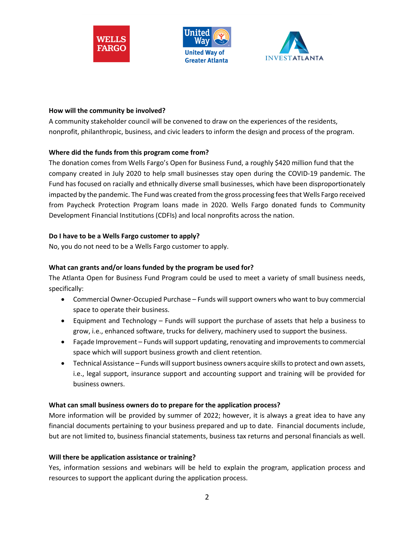





#### **How will the community be involved?**

A community stakeholder council will be convened to draw on the experiences of the residents, nonprofit, philanthropic, business, and civic leaders to inform the design and process of the program.

### **Where did the funds from this program come from?**

The donation comes from Wells Fargo's Open for Business Fund, a roughly \$420 million fund that the company created in July 2020 to help small businesses stay open during the COVID-19 pandemic. The Fund has focused on racially and ethnically diverse small businesses, which have been disproportionately impacted by the pandemic. The Fund was created from the gross processing fees that Wells Fargo received from Paycheck Protection Program loans made in 2020. Wells Fargo donated funds to Community Development Financial Institutions (CDFIs) and local nonprofits across the nation.

### **Do I have to be a Wells Fargo customer to apply?**

No, you do not need to be a Wells Fargo customer to apply.

### **What can grants and/or loans funded by the program be used for?**

The Atlanta Open for Business Fund Program could be used to meet a variety of small business needs, specifically:

- Commercial Owner-Occupied Purchase Funds will support owners who want to buy commercial space to operate their business.
- Equipment and Technology Funds will support the purchase of assets that help a business to grow, i.e., enhanced software, trucks for delivery, machinery used to support the business.
- Façade Improvement Funds will support updating, renovating and improvements to commercial space which will support business growth and client retention.
- Technical Assistance Funds will support business owners acquire skills to protect and own assets, i.e., legal support, insurance support and accounting support and training will be provided for business owners.

### **What can small business owners do to prepare for the application process?**

More information will be provided by summer of 2022; however, it is always a great idea to have any financial documents pertaining to your business prepared and up to date. Financial documents include, but are not limited to, business financial statements, business tax returns and personal financials as well.

### **Will there be application assistance or training?**

Yes, information sessions and webinars will be held to explain the program, application process and resources to support the applicant during the application process.